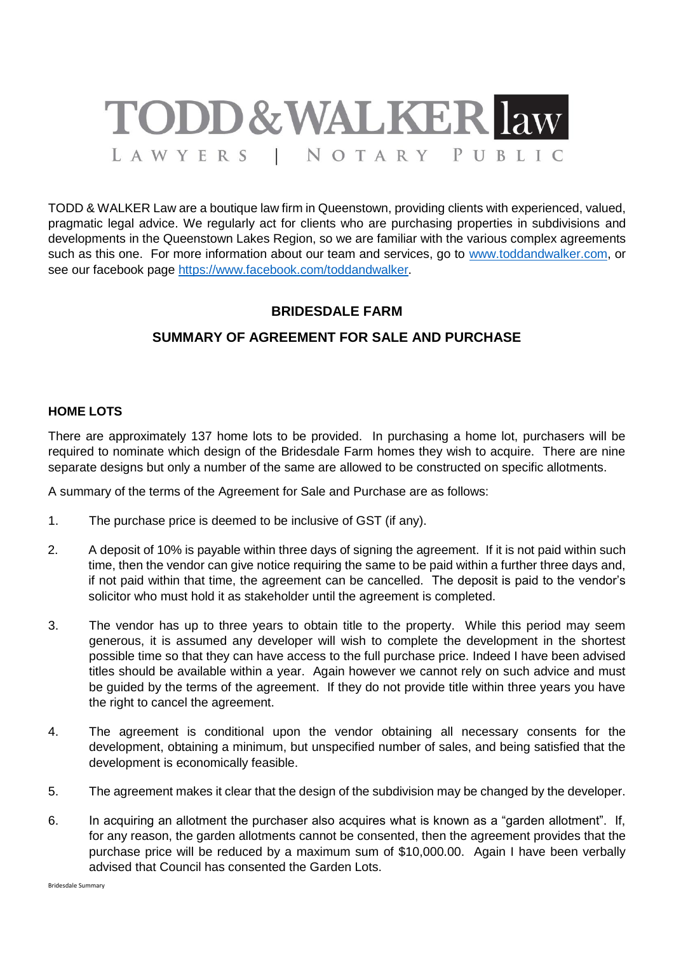

TODD & WALKER Law are a boutique law firm in Queenstown, providing clients with experienced, valued, pragmatic legal advice. We regularly act for clients who are purchasing properties in subdivisions and developments in the Queenstown Lakes Region, so we are familiar with the various complex agreements such as this one. For more information about our team and services, go to [www.toddandwalker.com,](http://www.toddandwalker.com/) or see our facebook page [https://www.facebook.com/toddandwalker.](https://www.facebook.com/toddandwalker)

## **BRIDESDALE FARM**

# **SUMMARY OF AGREEMENT FOR SALE AND PURCHASE**

#### **HOME LOTS**

There are approximately 137 home lots to be provided. In purchasing a home lot, purchasers will be required to nominate which design of the Bridesdale Farm homes they wish to acquire. There are nine separate designs but only a number of the same are allowed to be constructed on specific allotments.

A summary of the terms of the Agreement for Sale and Purchase are as follows:

- 1. The purchase price is deemed to be inclusive of GST (if any).
- 2. A deposit of 10% is payable within three days of signing the agreement. If it is not paid within such time, then the vendor can give notice requiring the same to be paid within a further three days and, if not paid within that time, the agreement can be cancelled. The deposit is paid to the vendor's solicitor who must hold it as stakeholder until the agreement is completed.
- 3. The vendor has up to three years to obtain title to the property. While this period may seem generous, it is assumed any developer will wish to complete the development in the shortest possible time so that they can have access to the full purchase price. Indeed I have been advised titles should be available within a year. Again however we cannot rely on such advice and must be guided by the terms of the agreement. If they do not provide title within three years you have the right to cancel the agreement.
- 4. The agreement is conditional upon the vendor obtaining all necessary consents for the development, obtaining a minimum, but unspecified number of sales, and being satisfied that the development is economically feasible.
- 5. The agreement makes it clear that the design of the subdivision may be changed by the developer.
- 6. In acquiring an allotment the purchaser also acquires what is known as a "garden allotment". If, for any reason, the garden allotments cannot be consented, then the agreement provides that the purchase price will be reduced by a maximum sum of \$10,000.00. Again I have been verbally advised that Council has consented the Garden Lots.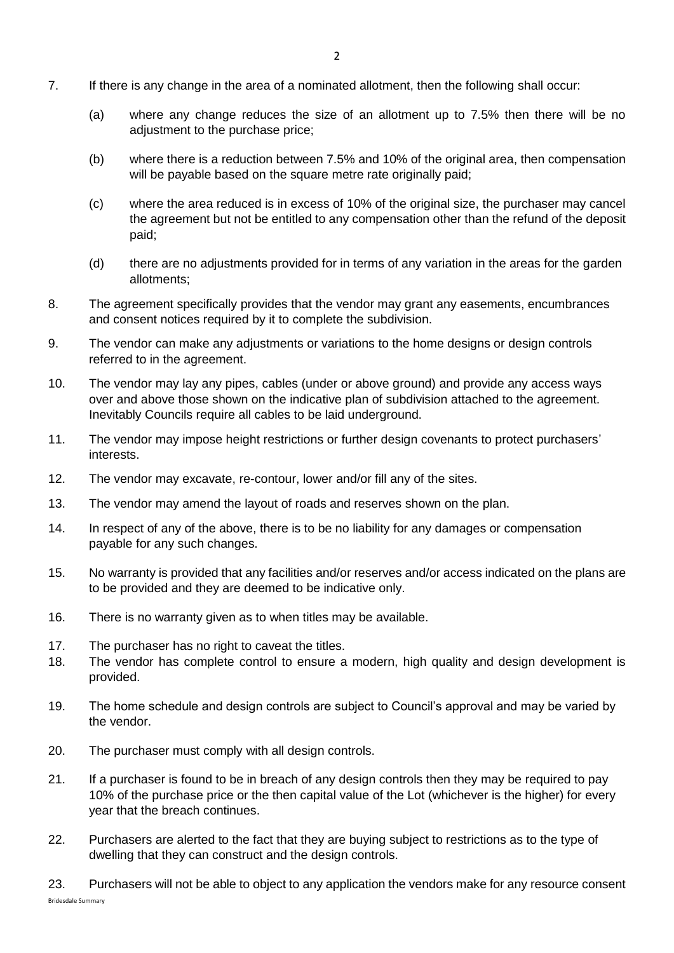- 7. If there is any change in the area of a nominated allotment, then the following shall occur:
	- (a) where any change reduces the size of an allotment up to 7.5% then there will be no adjustment to the purchase price;
	- (b) where there is a reduction between 7.5% and 10% of the original area, then compensation will be payable based on the square metre rate originally paid;
	- (c) where the area reduced is in excess of 10% of the original size, the purchaser may cancel the agreement but not be entitled to any compensation other than the refund of the deposit paid;
	- (d) there are no adjustments provided for in terms of any variation in the areas for the garden allotments;
- 8. The agreement specifically provides that the vendor may grant any easements, encumbrances and consent notices required by it to complete the subdivision.
- 9. The vendor can make any adjustments or variations to the home designs or design controls referred to in the agreement.
- 10. The vendor may lay any pipes, cables (under or above ground) and provide any access ways over and above those shown on the indicative plan of subdivision attached to the agreement. Inevitably Councils require all cables to be laid underground.
- 11. The vendor may impose height restrictions or further design covenants to protect purchasers' interests.
- 12. The vendor may excavate, re-contour, lower and/or fill any of the sites.
- 13. The vendor may amend the layout of roads and reserves shown on the plan.
- 14. In respect of any of the above, there is to be no liability for any damages or compensation payable for any such changes.
- 15. No warranty is provided that any facilities and/or reserves and/or access indicated on the plans are to be provided and they are deemed to be indicative only.
- 16. There is no warranty given as to when titles may be available.
- 17. The purchaser has no right to caveat the titles.
- 18. The vendor has complete control to ensure a modern, high quality and design development is provided.
- 19. The home schedule and design controls are subject to Council's approval and may be varied by the vendor.
- 20. The purchaser must comply with all design controls.
- 21. If a purchaser is found to be in breach of any design controls then they may be required to pay 10% of the purchase price or the then capital value of the Lot (whichever is the higher) for every year that the breach continues.
- 22. Purchasers are alerted to the fact that they are buying subject to restrictions as to the type of dwelling that they can construct and the design controls.
- Bridesdale Summary 23. Purchasers will not be able to object to any application the vendors make for any resource consent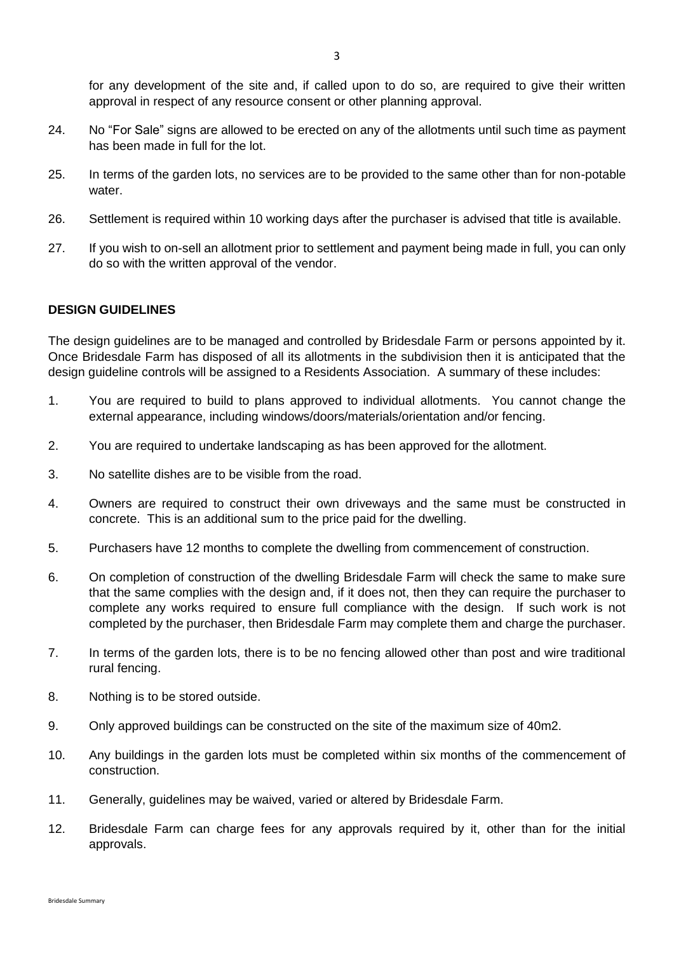- 24. No "For Sale" signs are allowed to be erected on any of the allotments until such time as payment has been made in full for the lot.
- 25. In terms of the garden lots, no services are to be provided to the same other than for non-potable water.
- 26. Settlement is required within 10 working days after the purchaser is advised that title is available.
- 27. If you wish to on-sell an allotment prior to settlement and payment being made in full, you can only do so with the written approval of the vendor.

#### **DESIGN GUIDELINES**

The design guidelines are to be managed and controlled by Bridesdale Farm or persons appointed by it. Once Bridesdale Farm has disposed of all its allotments in the subdivision then it is anticipated that the design guideline controls will be assigned to a Residents Association. A summary of these includes:

- 1. You are required to build to plans approved to individual allotments. You cannot change the external appearance, including windows/doors/materials/orientation and/or fencing.
- 2. You are required to undertake landscaping as has been approved for the allotment.
- 3. No satellite dishes are to be visible from the road.
- 4. Owners are required to construct their own driveways and the same must be constructed in concrete. This is an additional sum to the price paid for the dwelling.
- 5. Purchasers have 12 months to complete the dwelling from commencement of construction.
- 6. On completion of construction of the dwelling Bridesdale Farm will check the same to make sure that the same complies with the design and, if it does not, then they can require the purchaser to complete any works required to ensure full compliance with the design. If such work is not completed by the purchaser, then Bridesdale Farm may complete them and charge the purchaser.
- 7. In terms of the garden lots, there is to be no fencing allowed other than post and wire traditional rural fencing.
- 8. Nothing is to be stored outside.
- 9. Only approved buildings can be constructed on the site of the maximum size of 40m2.
- 10. Any buildings in the garden lots must be completed within six months of the commencement of construction.
- 11. Generally, guidelines may be waived, varied or altered by Bridesdale Farm.
- 12. Bridesdale Farm can charge fees for any approvals required by it, other than for the initial approvals.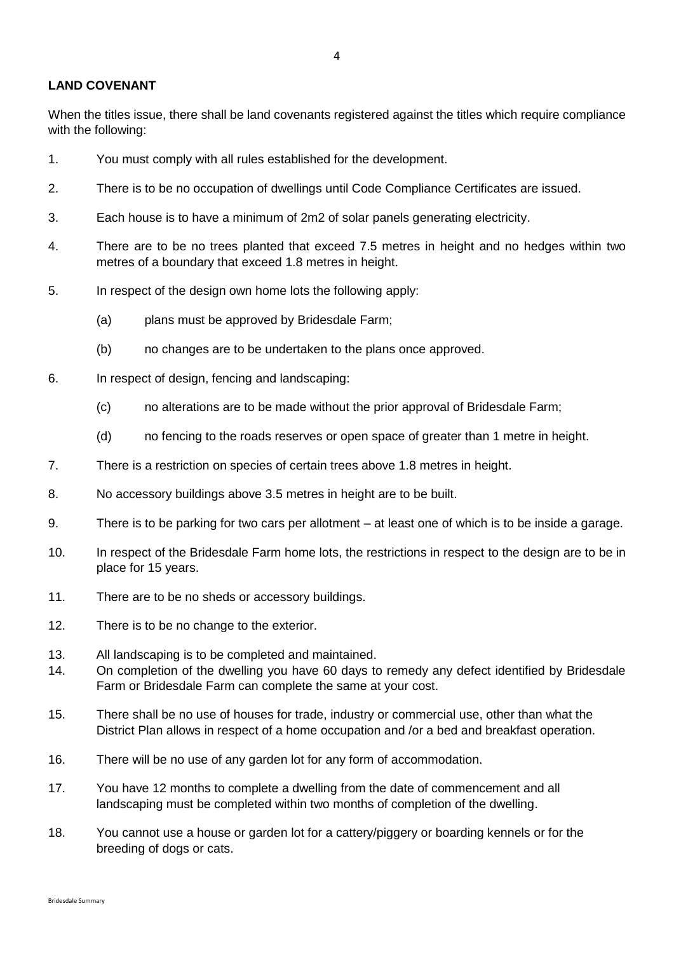### **LAND COVENANT**

When the titles issue, there shall be land covenants registered against the titles which require compliance with the following:

- 1. You must comply with all rules established for the development.
- 2. There is to be no occupation of dwellings until Code Compliance Certificates are issued.
- 3. Each house is to have a minimum of 2m2 of solar panels generating electricity.
- 4. There are to be no trees planted that exceed 7.5 metres in height and no hedges within two metres of a boundary that exceed 1.8 metres in height.
- 5. In respect of the design own home lots the following apply:
	- (a) plans must be approved by Bridesdale Farm;
	- (b) no changes are to be undertaken to the plans once approved.
- 6. In respect of design, fencing and landscaping:
	- (c) no alterations are to be made without the prior approval of Bridesdale Farm;
	- (d) no fencing to the roads reserves or open space of greater than 1 metre in height.
- 7. There is a restriction on species of certain trees above 1.8 metres in height.
- 8. No accessory buildings above 3.5 metres in height are to be built.
- 9. There is to be parking for two cars per allotment at least one of which is to be inside a garage.
- 10. In respect of the Bridesdale Farm home lots, the restrictions in respect to the design are to be in place for 15 years.
- 11. There are to be no sheds or accessory buildings.
- 12. There is to be no change to the exterior.
- 13. All landscaping is to be completed and maintained.
- 14. On completion of the dwelling you have 60 days to remedy any defect identified by Bridesdale Farm or Bridesdale Farm can complete the same at your cost.
- 15. There shall be no use of houses for trade, industry or commercial use, other than what the District Plan allows in respect of a home occupation and /or a bed and breakfast operation.
- 16. There will be no use of any garden lot for any form of accommodation.
- 17. You have 12 months to complete a dwelling from the date of commencement and all landscaping must be completed within two months of completion of the dwelling.
- 18. You cannot use a house or garden lot for a cattery/piggery or boarding kennels or for the breeding of dogs or cats.